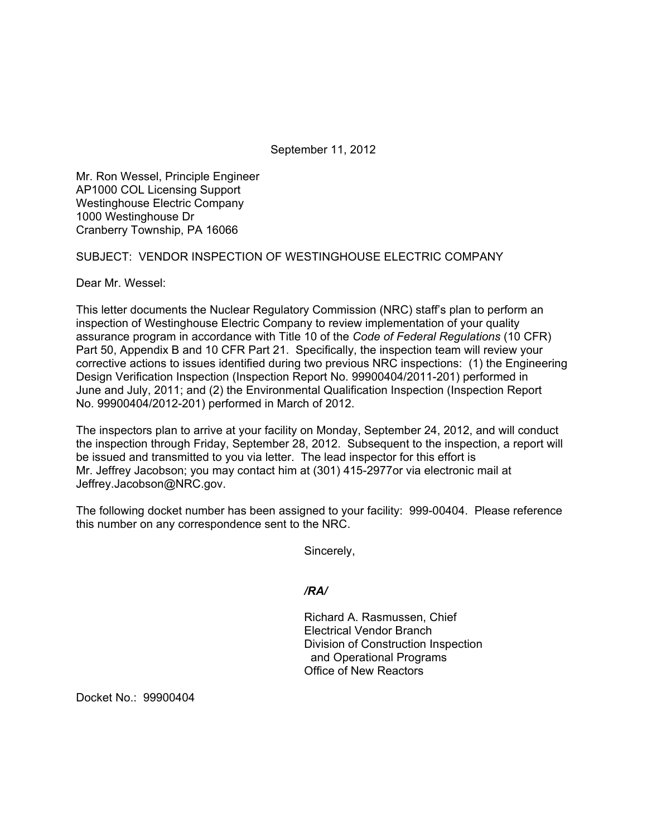September 11, 2012

Mr. Ron Wessel, Principle Engineer AP1000 COL Licensing Support Westinghouse Electric Company 1000 Westinghouse Dr Cranberry Township, PA 16066

SUBJECT: VENDOR INSPECTION OF WESTINGHOUSE ELECTRIC COMPANY

Dear Mr. Wessel:

This letter documents the Nuclear Regulatory Commission (NRC) staff's plan to perform an inspection of Westinghouse Electric Company to review implementation of your quality assurance program in accordance with Title 10 of the *Code of Federal Regulations* (10 CFR) Part 50, Appendix B and 10 CFR Part 21. Specifically, the inspection team will review your corrective actions to issues identified during two previous NRC inspections: (1) the Engineering Design Verification Inspection (Inspection Report No. 99900404/2011-201) performed in June and July, 2011; and (2) the Environmental Qualification Inspection (Inspection Report No. 99900404/2012-201) performed in March of 2012.

The inspectors plan to arrive at your facility on Monday, September 24, 2012, and will conduct the inspection through Friday, September 28, 2012. Subsequent to the inspection, a report will be issued and transmitted to you via letter. The lead inspector for this effort is Mr. Jeffrey Jacobson; you may contact him at (301) 415-2977or via electronic mail at Jeffrey.Jacobson@NRC.gov.

The following docket number has been assigned to your facility: 999-00404. Please reference this number on any correspondence sent to the NRC.

Sincerely,

*/RA/* 

Richard A. Rasmussen, Chief Electrical Vendor Branch Division of Construction Inspection and Operational Programs Office of New Reactors

Docket No.: 99900404